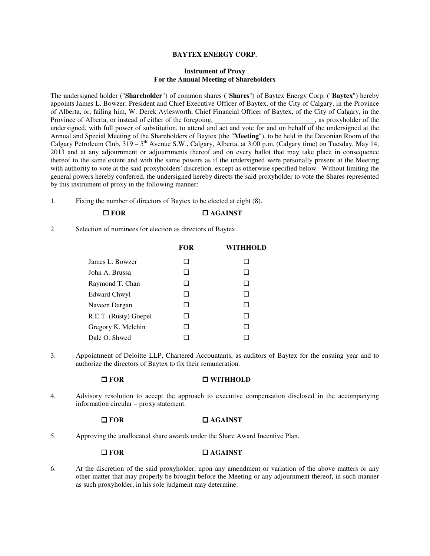# **BAYTEX ENERGY CORP.**

# **Instrument of Proxy For the Annual Meeting of Shareholders**

The undersigned holder ("**Shareholder**") of common shares ("**Shares**") of Baytex Energy Corp. ("**Baytex**") hereby appoints James L. Bowzer, President and Chief Executive Officer of Baytex, of the City of Calgary, in the Province of Alberta, or, failing him, W. Derek Aylesworth, Chief Financial Officer of Baytex, of the City of Calgary, in the Province of Alberta, or instead of either of the foregoing, undersigned, with full power of substitution, to attend and act and vote for and on behalf of the undersigned at the Annual and Special Meeting of the Shareholders of Baytex (the "**Meeting**"), to be held in the Devonian Room of the Calgary Petroleum Club,  $319 - 5<sup>th</sup>$  Avenue S.W., Calgary, Alberta, at 3:00 p.m. (Calgary time) on Tuesday, May 14, 2013 and at any adjournment or adjournments thereof and on every ballot that may take place in consequence thereof to the same extent and with the same powers as if the undersigned were personally present at the Meeting with authority to vote at the said proxyholders' discretion, except as otherwise specified below. Without limiting the general powers hereby conferred, the undersigned hereby directs the said proxyholder to vote the Shares represented by this instrument of proxy in the following manner:

1. Fixing the number of directors of Baytex to be elected at eight (8).

# **□ FOR □ AGAINST**

2. Selection of nominees for election as directors of Baytex.

|                       | <b>FOR</b> | WITHHOLD |
|-----------------------|------------|----------|
| James L. Bowzer       |            | ΙI       |
| John A. Brussa        |            | ΙI       |
| Raymond T. Chan       |            |          |
| Edward Chwyl          |            | П        |
| Naveen Dargan         |            | П        |
| R.E.T. (Rusty) Goepel |            | П        |
| Gregory K. Melchin    |            |          |
| Dale O. Shwed         |            |          |

3. Appointment of Deloitte LLP, Chartered Accountants, as auditors of Baytex for the ensuing year and to authorize the directors of Baytex to fix their remuneration.

### **FOR WITHHOLD**

4. Advisory resolution to accept the approach to executive compensation disclosed in the accompanying information circular – proxy statement.

# **□ FOR □ AGAINST**

5. Approving the unallocated share awards under the Share Award Incentive Plan.

# **□ FOR □ AGAINST**

6. At the discretion of the said proxyholder, upon any amendment or variation of the above matters or any other matter that may properly be brought before the Meeting or any adjournment thereof, in such manner as such proxyholder, in his sole judgment may determine.